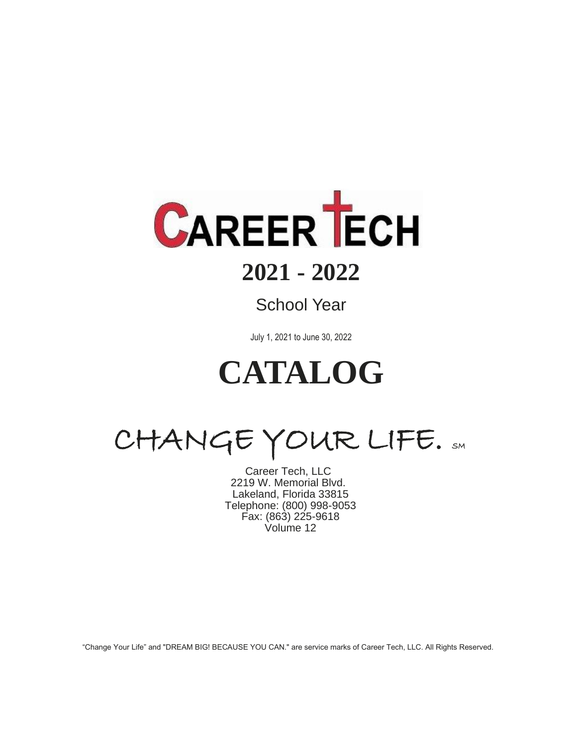

# **2021 - 2022**

## School Year

1 to July 1, 2021 to June 30, 2022

# $\overline{a}$ **CATALOG**

CHANGE YOUR LIFE. SM

Career Tech, LLC 2219 W. Memorial Blvd. Lakeland, Florida 33815 Telephone: (800) 998-9053 Fax: (863) 225-9618 Volume 12

"Change Your Life" and "DREAM BIG! BECAUSE YOU CAN." are service marks of Career Tech, LLC. All Rights Reserved.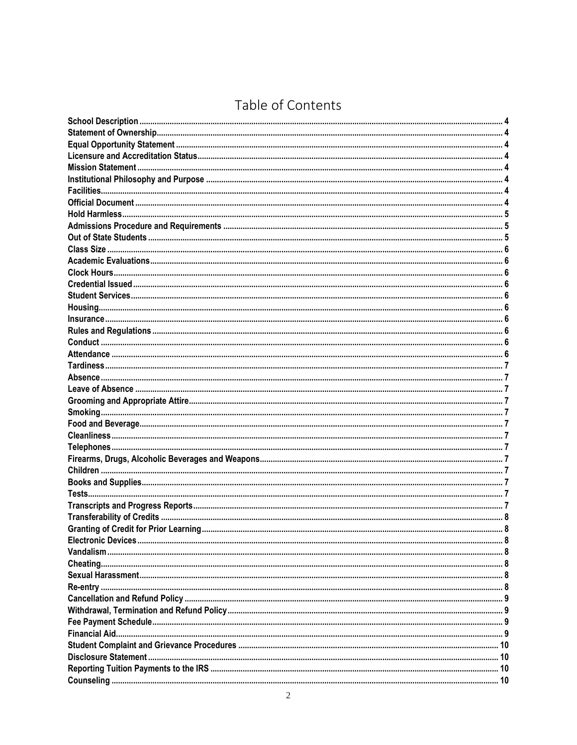## Table of Contents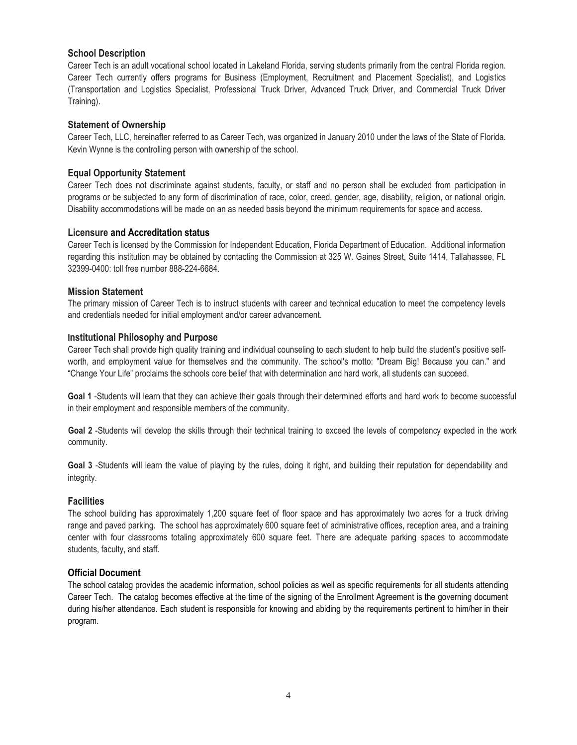### **School Description**

Career Tech is an adult vocational school located in Lakeland Florida, serving students primarily from the central Florida region. Career Tech currently offers programs for Business (Employment, Recruitment and Placement Specialist), and Logistics (Transportation and Logistics Specialist, Professional Truck Driver, Advanced Truck Driver, and Commercial Truck Driver Training).

### **Statement of Ownership**

Career Tech, LLC, hereinafter referred to as Career Tech, was organized in January 2010 under the laws of the State of Florida. Kevin Wynne is the controlling person with ownership of the school.

### **Equal Opportunity Statement**

Career Tech does not discriminate against students, faculty, or staff and no person shall be excluded from participation in programs or be subjected to any form of discrimination of race, color, creed, gender, age, disability, religion, or national origin. Disability accommodations will be made on an as needed basis beyond the minimum requirements for space and access.

### **Licensure and Accreditation status**

Career Tech is licensed by the Commission for Independent Education, Florida Department of Education. Additional information regarding this institution may be obtained by contacting the Commission at 325 W. Gaines Street, Suite 1414, Tallahassee, FL 32399-0400: toll free number 888-224-6684.

### **Mission Statement**

The primary mission of Career Tech is to instruct students with career and technical education to meet the competency levels and credentials needed for initial employment and/or career advancement.

### **Institutional Philosophy and Purpose**

Career Tech shall provide high quality training and individual counseling to each student to help build the student's positive selfworth, and employment value for themselves and the community. The school's motto: "Dream Big! Because you can." and "Change Your Life" proclaims the schools core belief that with determination and hard work, all students can succeed.

**Goal 1** -Students will learn that they can achieve their goals through their determined efforts and hard work to become successful in their employment and responsible members of the community.

**Goal 2** -Students will develop the skills through their technical training to exceed the levels of competency expected in the work community.

**Goal 3** -Students will learn the value of playing by the rules, doing it right, and building their reputation for dependability and integrity.

### **Facilities**

The school building has approximately 1,200 square feet of floor space and has approximately two acres for a truck driving range and paved parking. The school has approximately 600 square feet of administrative offices, reception area, and a training center with four classrooms totaling approximately 600 square feet. There are adequate parking spaces to accommodate students, faculty, and staff.

### **Official Document**

The school catalog provides the academic information, school policies as well as specific requirements for all students attending Career Tech. The catalog becomes effective at the time of the signing of the Enrollment Agreement is the governing document during his/her attendance. Each student is responsible for knowing and abiding by the requirements pertinent to him/her in their program.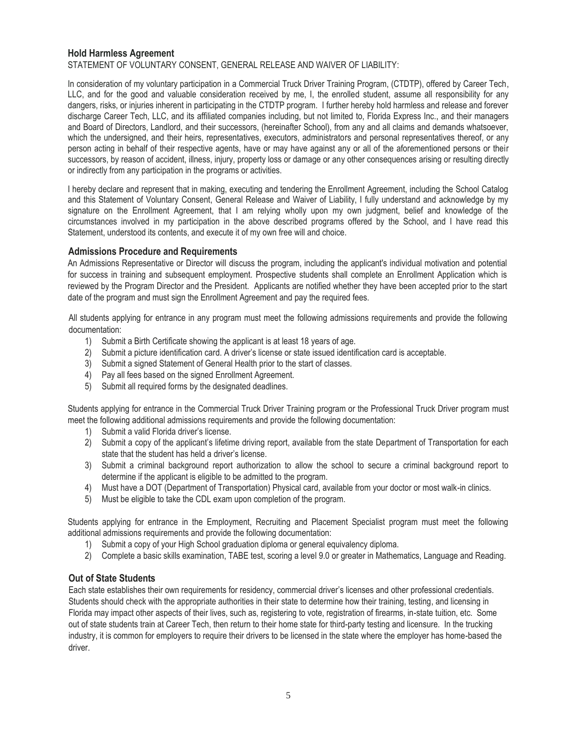### **Hold Harmless Agreement**

STATEMENT OF VOLUNTARY CONSENT, GENERAL RELEASE AND WAIVER OF LIABILITY:

In consideration of my voluntary participation in a Commercial Truck Driver Training Program, (CTDTP), offered by Career Tech, LLC, and for the good and valuable consideration received by me, I, the enrolled student, assume all responsibility for any dangers, risks, or injuries inherent in participating in the CTDTP program. I further hereby hold harmless and release and forever discharge Career Tech, LLC, and its affiliated companies including, but not limited to, Florida Express Inc., and their managers and Board of Directors, Landlord, and their successors, (hereinafter School), from any and all claims and demands whatsoever, which the undersigned, and their heirs, representatives, executors, administrators and personal representatives thereof, or any person acting in behalf of their respective agents, have or may have against any or all of the aforementioned persons or their successors, by reason of accident, illness, injury, property loss or damage or any other consequences arising or resulting directly or indirectly from any participation in the programs or activities.

I hereby declare and represent that in making, executing and tendering the Enrollment Agreement, including the School Catalog and this Statement of Voluntary Consent, General Release and Waiver of Liability, I fully understand and acknowledge by my signature on the Enrollment Agreement, that I am relying wholly upon my own judgment, belief and knowledge of the circumstances involved in my participation in the above described programs offered by the School, and I have read this Statement, understood its contents, and execute it of my own free will and choice.

### **Admissions Procedure and Requirements**

An Admissions Representative or Director will discuss the program, including the applicant's individual motivation and potential for success in training and subsequent employment. Prospective students shall complete an Enrollment Application which is reviewed by the Program Director and the President. Applicants are notified whether they have been accepted prior to the start date of the program and must sign the Enrollment Agreement and pay the required fees.

All students applying for entrance in any program must meet the following admissions requirements and provide the following documentation:

- 1) Submit a Birth Certificate showing the applicant is at least 18 years of age.
- 2) Submit a picture identification card. A driver's license or state issued identification card is acceptable.
- 3) Submit a signed Statement of General Health prior to the start of classes.
- 4) Pay all fees based on the signed Enrollment Agreement.
- 5) Submit all required forms by the designated deadlines.

Students applying for entrance in the Commercial Truck Driver Training program or the Professional Truck Driver program must meet the following additional admissions requirements and provide the following documentation:

- 1) Submit a valid Florida driver's license.
- 2) Submit a copy of the applicant's lifetime driving report, available from the state Department of Transportation for each state that the student has held a driver's license.
- 3) Submit a criminal background report authorization to allow the school to secure a criminal background report to determine if the applicant is eligible to be admitted to the program.
- 4) Must have a DOT (Department of Transportation) Physical card, available from your doctor or most walk-in clinics.
- 5) Must be eligible to take the CDL exam upon completion of the program.

Students applying for entrance in the Employment, Recruiting and Placement Specialist program must meet the following additional admissions requirements and provide the following documentation:

- 1) Submit a copy of your High School graduation diploma or general equivalency diploma.
- 2) Complete a basic skills examination, TABE test, scoring a level 9.0 or greater in Mathematics, Language and Reading.

### **Out of State Students**

Each state establishes their own requirements for residency, commercial driver's licenses and other professional credentials. Students should check with the appropriate authorities in their state to determine how their training, testing, and licensing in Florida may impact other aspects of their lives, such as, registering to vote, registration of firearms, in-state tuition, etc. Some out of state students train at Career Tech, then return to their home state for third-party testing and licensure. In the trucking industry, it is common for employers to require their drivers to be licensed in the state where the employer has home-based the driver.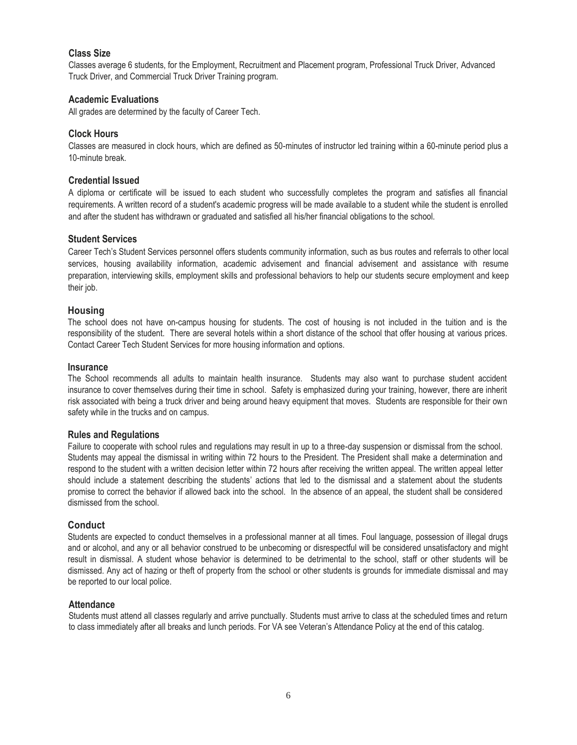### **Class Size**

Classes average 6 students, for the Employment, Recruitment and Placement program, Professional Truck Driver, Advanced Truck Driver, and Commercial Truck Driver Training program.

### **Academic Evaluations**

All grades are determined by the faculty of Career Tech.

### **Clock Hours**

Classes are measured in clock hours, which are defined as 50-minutes of instructor led training within a 60-minute period plus a 10-minute break.

### **Credential Issued**

A diploma or certificate will be issued to each student who successfully completes the program and satisfies all financial requirements. A written record of a student's academic progress will be made available to a student while the student is enrolled and after the student has withdrawn or graduated and satisfied all his/her financial obligations to the school.

### **Student Services**

Career Tech's Student Services personnel offers students community information, such as bus routes and referrals to other local services, housing availability information, academic advisement and financial advisement and assistance with resume preparation, interviewing skills, employment skills and professional behaviors to help our students secure employment and keep their job.

### **Housing**

The school does not have on-campus housing for students. The cost of housing is not included in the tuition and is the responsibility of the student. There are several hotels within a short distance of the school that offer housing at various prices. Contact Career Tech Student Services for more housing information and options.

### **Insurance**

The School recommends all adults to maintain health insurance. Students may also want to purchase student accident insurance to cover themselves during their time in school. Safety is emphasized during your training, however, there are inherit risk associated with being a truck driver and being around heavy equipment that moves. Students are responsible for their own safety while in the trucks and on campus.

### **Rules and Regulations**

Failure to cooperate with school rules and regulations may result in up to a three-day suspension or dismissal from the school. Students may appeal the dismissal in writing within 72 hours to the President. The President shall make a determination and respond to the student with a written decision letter within 72 hours after receiving the written appeal. The written appeal letter should include a statement describing the students' actions that led to the dismissal and a statement about the students promise to correct the behavior if allowed back into the school. In the absence of an appeal, the student shall be considered dismissed from the school.

### **Conduct**

Students are expected to conduct themselves in a professional manner at all times. Foul language, possession of illegal drugs and or alcohol, and any or all behavior construed to be unbecoming or disrespectful will be considered unsatisfactory and might result in dismissal. A student whose behavior is determined to be detrimental to the school, staff or other students will be dismissed. Any act of hazing or theft of property from the school or other students is grounds for immediate dismissal and may be reported to our local police.

### **Attendance**

Students must attend all classes regularly and arrive punctually. Students must arrive to class at the scheduled times and return to class immediately after all breaks and lunch periods. For VA see Veteran's Attendance Policy at the end of this catalog.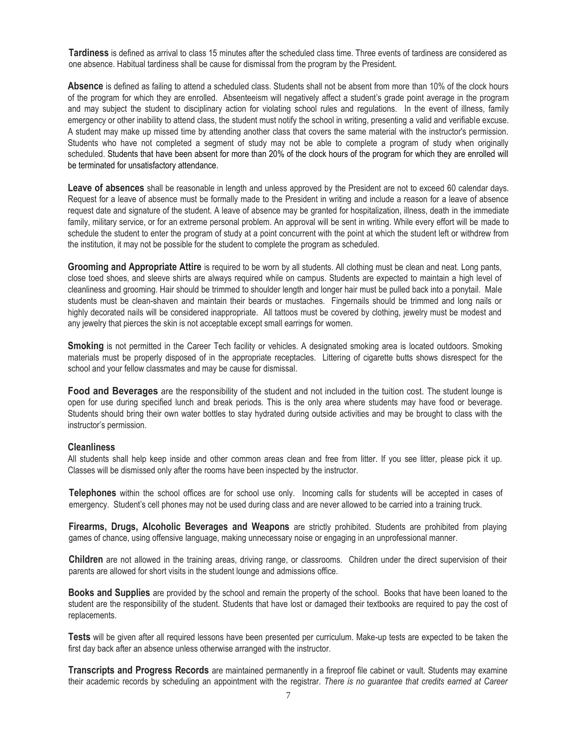**Tardiness** is defined as arrival to class 15 minutes after the scheduled class time. Three events of tardiness are considered as one absence. Habitual tardiness shall be cause for dismissal from the program by the President.

**Absence** is defined as failing to attend a scheduled class. Students shall not be absent from more than 10% of the clock hours of the program for which they are enrolled. Absenteeism will negatively affect a student's grade point average in the program and may subject the student to disciplinary action for violating school rules and regulations. In the event of illness, family emergency or other inability to attend class, the student must notify the school in writing, presenting a valid and verifiable excuse. A student may make up missed time by attending another class that covers the same material with the instructor's permission. Students who have not completed a segment of study may not be able to complete a program of study when originally scheduled. Students that have been absent for more than 20% of the clock hours of the program for which they are enrolled will be terminated for unsatisfactory attendance.

**Leave of absences** shall be reasonable in length and unless approved by the President are not to exceed 60 calendar days. Request for a leave of absence must be formally made to the President in writing and include a reason for a leave of absence request date and signature of the student. A leave of absence may be granted for hospitalization, illness, death in the immediate family, military service, or for an extreme personal problem. An approval will be sent in writing. While every effort will be made to schedule the student to enter the program of study at a point concurrent with the point at which the student left or withdrew from the institution, it may not be possible for the student to complete the program as scheduled.

**Grooming and Appropriate Attire** is required to be worn by all students. All clothing must be clean and neat. Long pants, close toed shoes, and sleeve shirts are always required while on campus. Students are expected to maintain a high level of cleanliness and grooming. Hair should be trimmed to shoulder length and longer hair must be pulled back into a ponytail. Male students must be clean-shaven and maintain their beards or mustaches. Fingernails should be trimmed and long nails or highly decorated nails will be considered inappropriate. All tattoos must be covered by clothing, jewelry must be modest and any jewelry that pierces the skin is not acceptable except small earrings for women.

**Smoking** is not permitted in the Career Tech facility or vehicles. A designated smoking area is located outdoors. Smoking materials must be properly disposed of in the appropriate receptacles. Littering of cigarette butts shows disrespect for the school and your fellow classmates and may be cause for dismissal.

**Food and Beverages** are the responsibility of the student and not included in the tuition cost. The student lounge is open for use during specified lunch and break periods. This is the only area where students may have food or beverage. Students should bring their own water bottles to stay hydrated during outside activities and may be brought to class with the instructor's permission.

### **Cleanliness**

All students shall help keep inside and other common areas clean and free from litter. If you see litter, please pick it up. Classes will be dismissed only after the rooms have been inspected by the instructor.

**Telephones** within the school offices are for school use only. Incoming calls for students will be accepted in cases of emergency. Student's cell phones may not be used during class and are never allowed to be carried into a training truck.

**Firearms, Drugs, Alcoholic Beverages and Weapons** are strictly prohibited. Students are prohibited from playing games of chance, using offensive language, making unnecessary noise or engaging in an unprofessional manner.

**Children** are not allowed in the training areas, driving range, or classrooms. Children under the direct supervision of their parents are allowed for short visits in the student lounge and admissions office.

**Books and Supplies** are provided by the school and remain the property of the school. Books that have been loaned to the student are the responsibility of the student. Students that have lost or damaged their textbooks are required to pay the cost of replacements.

**Tests** will be given after all required lessons have been presented per curriculum. Make-up tests are expected to be taken the first day back after an absence unless otherwise arranged with the instructor.

**Transcripts and Progress Records** are maintained permanently in a fireproof file cabinet or vault. Students may examine their academic records by scheduling an appointment with the registrar. *There is no guarantee that credits earned at Career*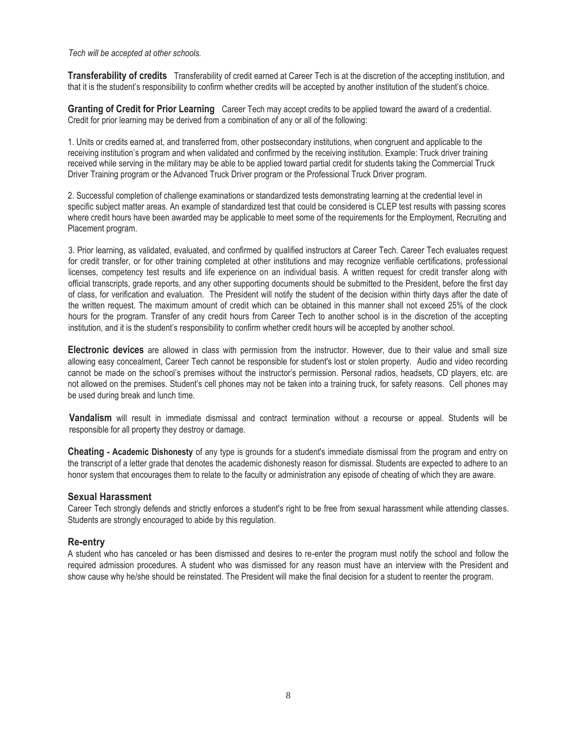*Tech will be accepted at other schools.* 

**Transferability of credits** Transferability of credit earned at Career Tech is at the discretion of the accepting institution, and that it is the student's responsibility to confirm whether credits will be accepted by another institution of the student's choice.

**Granting of Credit for Prior Learning** Career Tech may accept credits to be applied toward the award of a credential. Credit for prior learning may be derived from a combination of any or all of the following:

1. Units or credits earned at, and transferred from, other postsecondary institutions, when congruent and applicable to the receiving institution's program and when validated and confirmed by the receiving institution. Example: Truck driver training received while serving in the military may be able to be applied toward partial credit for students taking the Commercial Truck Driver Training program or the Advanced Truck Driver program or the Professional Truck Driver program.

2. Successful completion of challenge examinations or standardized tests demonstrating learning at the credential level in specific subject matter areas. An example of standardized test that could be considered is CLEP test results with passing scores where credit hours have been awarded may be applicable to meet some of the requirements for the Employment, Recruiting and Placement program.

3. Prior learning, as validated, evaluated, and confirmed by qualified instructors at Career Tech. Career Tech evaluates request for credit transfer, or for other training completed at other institutions and may recognize verifiable certifications, professional licenses, competency test results and life experience on an individual basis. A written request for credit transfer along with official transcripts, grade reports, and any other supporting documents should be submitted to the President, before the first day of class, for verification and evaluation. The President will notify the student of the decision within thirty days after the date of the written request. The maximum amount of credit which can be obtained in this manner shall not exceed 25% of the clock hours for the program. Transfer of any credit hours from Career Tech to another school is in the discretion of the accepting institution, and it is the student's responsibility to confirm whether credit hours will be accepted by another school.

**Electronic devices** are allowed in class with permission from the instructor. However, due to their value and small size allowing easy concealment, Career Tech cannot be responsible for student's lost or stolen property. Audio and video recording cannot be made on the school's premises without the instructor's permission. Personal radios, headsets, CD players, etc. are not allowed on the premises. Student's cell phones may not be taken into a training truck, for safety reasons. Cell phones may be used during break and lunch time.

**Vandalism** will result in immediate dismissal and contract termination without a recourse or appeal. Students will be responsible for all property they destroy or damage.

**Cheating - Academic Dishonesty** of any type is grounds for a student's immediate dismissal from the program and entry on the transcript of a letter grade that denotes the academic dishonesty reason for dismissal. Students are expected to adhere to an honor system that encourages them to relate to the faculty or administration any episode of cheating of which they are aware.

### **Sexual Harassment**

Career Tech strongly defends and strictly enforces a student's right to be free from sexual harassment while attending classes. Students are strongly encouraged to abide by this regulation.

### **Re-entry**

A student who has canceled or has been dismissed and desires to re-enter the program must notify the school and follow the required admission procedures. A student who was dismissed for any reason must have an interview with the President and show cause why he/she should be reinstated. The President will make the final decision for a student to reenter the program.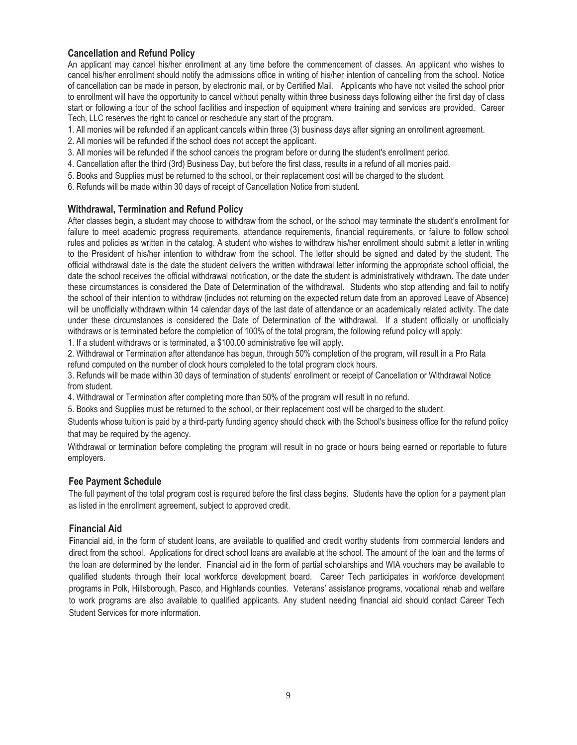### **Cancellation and Refund Policy**

An applicant may cancel his/her enrollment at any time before the commencement of classes. An applicant who wishes to cancel his/her enrollment should notify the admissions office in writing of his/her intention of cancelling from the school. Notice of cancellation can be made in person, by electronic mail, or by Certified Mail. Applicants who have not visited the school prior to enrollment will have the opportunity to cancel without penalty within three business days following either the first day of class start or following a tour of the school facilities and inspection of equipment where training and services are provided. Career Tech, LLC reserves the right to cancel or reschedule any start of the program.

- 1. All monies will be refunded if an applicant cancels within three (3) business days after signing an enrollment agreement.
- 2. All monies will be refunded if the school does not accept the applicant.
- 3. All monies will be refunded if the school cancels the program before or during the student's enrollment period.
- 4. Cancellation after the third (3rd) Business Day, but before the first class, results in a refund of all monies paid.
- 5. Books and Supplies must be returned to the school, or their replacement cost will be charged to the student.
- 6. Refunds will be made within 30 days of receipt of Cancellation Notice from student.

### **Withdrawal, Termination and Refund Policy**

After classes begin, a student may choose to withdraw from the school, or the school may terminate the student's enrollment for failure to meet academic progress requirements, attendance requirements, financial requirements, or failure to follow school rules and policies as written in the catalog. A student who wishes to withdraw his/her enrollment should submit a letter in writing to the President of his/her intention to withdraw from the school. The letter should be signed and dated by the student. The official withdrawal date is the date the student delivers the written withdrawal letter informing the appropriate school official, the date the school receives the official withdrawal notification, or the date the student is administratively withdrawn. The date under these circumstances is considered the Date of Determination of the withdrawal. Students who stop attending and fail to notify the school of their intention to withdraw (includes not returning on the expected return date from an approved Leave of Absence) will be unofficially withdrawn within 14 calendar days of the last date of attendance or an academically related activity. The date under these circumstances is considered the Date of Determination of the withdrawal. If a student officially or unofficially withdraws or is terminated before the completion of 100% of the total program, the following refund policy will apply:

1. If a student withdraws or is terminated, a \$100.00 administrative fee will apply.

2. Withdrawal or Termination after attendance has begun, through 50% completion of the program, will result in a Pro Rata refund computed on the number of clock hours completed to the total program clock hours.

3. Refunds will be made within 30 days of termination of students' enrollment or receipt of Cancellation or Withdrawal Notice from student.

4. Withdrawal or Termination after completing more than 50% of the program will result in no refund.

5. Books and Supplies must be returned to the school, or their replacement cost will be charged to the student.

Students whose tuition is paid by a third-party funding agency should check with the School's business office for the refund policy that may be required by the agency.

Withdrawal or termination before completing the program will result in no grade or hours being earned or reportable to future employers.

### **Fee Payment Schedule**

The full payment of the total program cost is required before the first class begins. Students have the option for a payment plan as listed in the enrollment agreement, subject to approved credit.

### **Financial Aid**

**F**inancial aid, in the form of student loans, are available to qualified and credit worthy students from commercial lenders and direct from the school. Applications for direct school loans are available at the school. The amount of the loan and the terms of the loan are determined by the lender. Financial aid in the form of partial scholarships and WIA vouchers may be available to qualified students through their local workforce development board. Career Tech participates in workforce development programs in Polk, Hillsborough, Pasco, and Highlands counties. Veterans' assistance programs, vocational rehab and welfare to work programs are also available to qualified applicants. Any student needing financial aid should contact Career Tech Student Services for more information.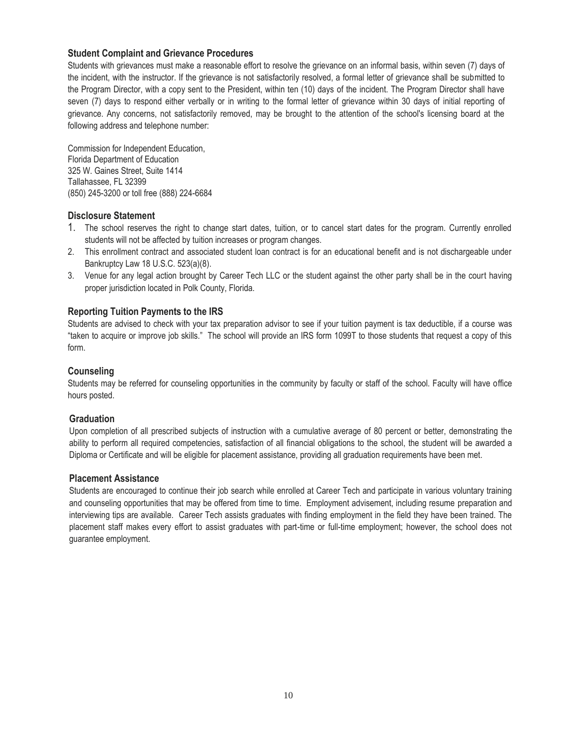### **Student Complaint and Grievance Procedures**

Students with grievances must make a reasonable effort to resolve the grievance on an informal basis, within seven (7) days of the incident, with the instructor. If the grievance is not satisfactorily resolved, a formal letter of grievance shall be submitted to the Program Director, with a copy sent to the President, within ten (10) days of the incident. The Program Director shall have seven (7) days to respond either verbally or in writing to the formal letter of grievance within 30 days of initial reporting of grievance. Any concerns, not satisfactorily removed, may be brought to the attention of the school's licensing board at the following address and telephone number:

Commission for Independent Education, Florida Department of Education 325 W. Gaines Street, Suite 1414 Tallahassee, FL 32399 (850) 245-3200 or toll free (888) 224-6684

### **Disclosure Statement**

- 1. The school reserves the right to change start dates, tuition, or to cancel start dates for the program. Currently enrolled students will not be affected by tuition increases or program changes.
- 2. This enrollment contract and associated student loan contract is for an educational benefit and is not dischargeable under Bankruptcy Law 18 U.S.C. 523(a)(8).
- 3. Venue for any legal action brought by Career Tech LLC or the student against the other party shall be in the court having proper jurisdiction located in Polk County, Florida.

### **Reporting Tuition Payments to the IRS**

Students are advised to check with your tax preparation advisor to see if your tuition payment is tax deductible, if a course was "taken to acquire or improve job skills." The school will provide an IRS form 1099T to those students that request a copy of this form.

### **Counseling**

Students may be referred for counseling opportunities in the community by faculty or staff of the school. Faculty will have office hours posted.

### **Graduation**

Upon completion of all prescribed subjects of instruction with a cumulative average of 80 percent or better, demonstrating the ability to perform all required competencies, satisfaction of all financial obligations to the school, the student will be awarded a Diploma or Certificate and will be eligible for placement assistance, providing all graduation requirements have been met.

### **Placement Assistance**

Students are encouraged to continue their job search while enrolled at Career Tech and participate in various voluntary training and counseling opportunities that may be offered from time to time. Employment advisement, including resume preparation and interviewing tips are available. Career Tech assists graduates with finding employment in the field they have been trained. The placement staff makes every effort to assist graduates with part-time or full-time employment; however, the school does not guarantee employment.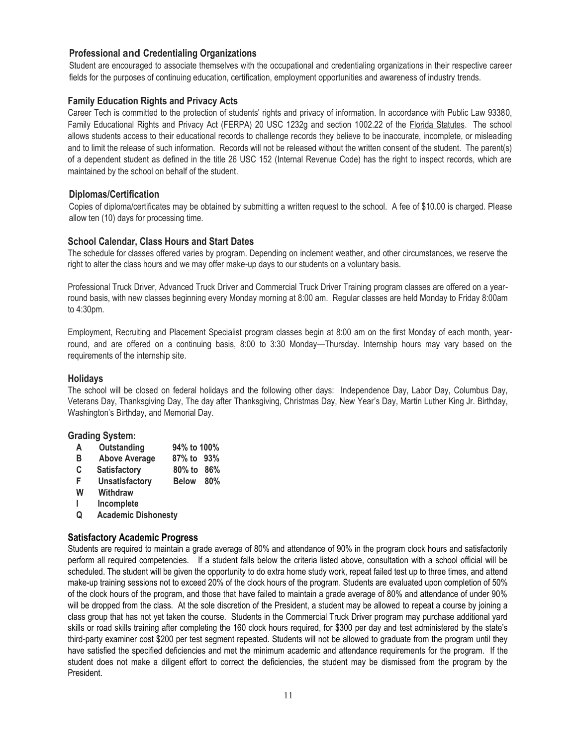### **Professional and Credentialing Organizations**

Student are encouraged to associate themselves with the occupational and credentialing organizations in their respective career fields for the purposes of continuing education, certification, employment opportunities and awareness of industry trends.

### **Family Education Rights and Privacy Acts**

Career Tech is committed to the protection of students' rights and privacy of information. In accordance with Public Law 93380, Family Educational Rights and Privacy Act (FERPA) 20 USC 1232g and section 1002.22 of the Florida Statutes. The school allows students access to their educational records to challenge records they believe to be inaccurate, incomplete, or misleading and to limit the release of such information. Records will not be released without the written consent of the student. The parent(s) of a dependent student as defined in the title 26 USC 152 (Internal Revenue Code) has the right to inspect records, which are maintained by the school on behalf of the student.

### **Diplomas/Certification**

Copies of diploma/certificates may be obtained by submitting a written request to the school. A fee of \$10.00 is charged. Please allow ten (10) days for processing time.

### **School Calendar, Class Hours and Start Dates**

The schedule for classes offered varies by program. Depending on inclement weather, and other circumstances, we reserve the right to alter the class hours and we may offer make-up days to our students on a voluntary basis.

Professional Truck Driver, Advanced Truck Driver and Commercial Truck Driver Training program classes are offered on a yearround basis, with new classes beginning every Monday morning at 8:00 am. Regular classes are held Monday to Friday 8:00am to 4:30pm.

Employment, Recruiting and Placement Specialist program classes begin at 8:00 am on the first Monday of each month, yearround, and are offered on a continuing basis, 8:00 to 3:30 Monday—Thursday. Internship hours may vary based on the requirements of the internship site.

### **Holidays**

The school will be closed on federal holidays and the following other days: Independence Day, Labor Day, Columbus Day, Veterans Day, Thanksgiving Day, The day after Thanksgiving, Christmas Day, New Year's Day, Martin Luther King Jr. Birthday, Washington's Birthday, and Memorial Day.

### **Grading System:**

- **A Outstanding 94% to 100%**
- **B Above Average 87% to 93%**
- **C Satisfactory 80% to 86%**
- **F Unsatisfactory Below 80%**
- **W Withdraw**
- **I Incomplete**
- **Q Academic Dishonesty**

### **Satisfactory Academic Progress**

Students are required to maintain a grade average of 80% and attendance of 90% in the program clock hours and satisfactorily perform all required competencies. If a student falls below the criteria listed above, consultation with a school official will be scheduled. The student will be given the opportunity to do extra home study work, repeat failed test up to three times, and attend make-up training sessions not to exceed 20% of the clock hours of the program. Students are evaluated upon completion of 50% of the clock hours of the program, and those that have failed to maintain a grade average of 80% and attendance of under 90% will be dropped from the class. At the sole discretion of the President, a student may be allowed to repeat a course by joining a class group that has not yet taken the course. Students in the Commercial Truck Driver program may purchase additional yard skills or road skills training after completing the 160 clock hours required, for \$300 per day and test administered by the state's third-party examiner cost \$200 per test segment repeated. Students will not be allowed to graduate from the program until they have satisfied the specified deficiencies and met the minimum academic and attendance requirements for the program. If the student does not make a diligent effort to correct the deficiencies, the student may be dismissed from the program by the President.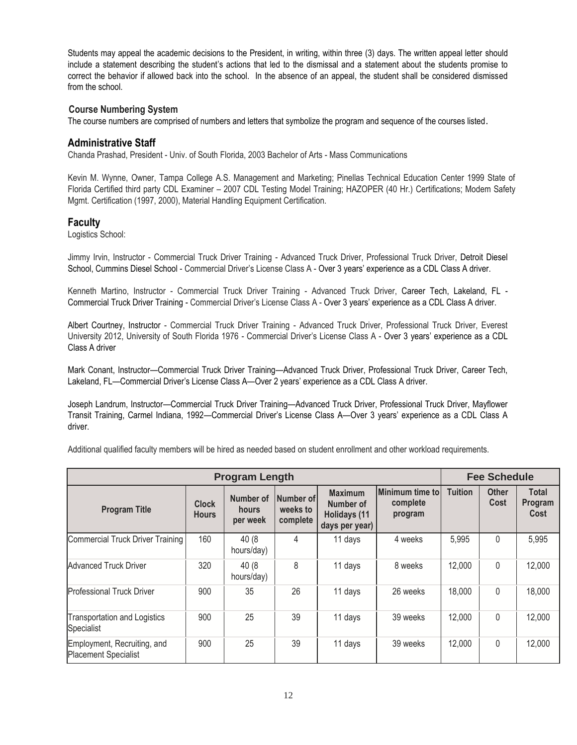Students may appeal the academic decisions to the President, in writing, within three (3) days. The written appeal letter should include a statement describing the student's actions that led to the dismissal and a statement about the students promise to correct the behavior if allowed back into the school. In the absence of an appeal, the student shall be considered dismissed from the school.

### **Course Numbering System**

The course numbers are comprised of numbers and letters that symbolize the program and sequence of the courses listed.

### **Administrative Staff**

Chanda Prashad, President - Univ. of South Florida, 2003 Bachelor of Arts - Mass Communications

Kevin M. Wynne, Owner, Tampa College A.S. Management and Marketing; Pinellas Technical Education Center 1999 State of Florida Certified third party CDL Examiner – 2007 CDL Testing Model Training; HAZOPER (40 Hr.) Certifications; Modem Safety Mgmt. Certification (1997, 2000), Material Handling Equipment Certification.

### **Faculty**

Logistics School:

Jimmy Irvin, Instructor - Commercial Truck Driver Training - Advanced Truck Driver, Professional Truck Driver, Detroit Diesel School, Cummins Diesel School - Commercial Driver's License Class A - Over 3 years' experience as a CDL Class A driver.

Kenneth Martino, Instructor - Commercial Truck Driver Training - Advanced Truck Driver, Career Tech, Lakeland, FL - Commercial Truck Driver Training - Commercial Driver's License Class A - Over 3 years' experience as a CDL Class A driver.

Albert Courtney, Instructor - Commercial Truck Driver Training - Advanced Truck Driver, Professional Truck Driver, Everest University 2012, University of South Florida 1976 - Commercial Driver's License Class A - Over 3 years' experience as a CDL Class A driver

Mark Conant, Instructor—Commercial Truck Driver Training—Advanced Truck Driver, Professional Truck Driver, Career Tech, Lakeland, FL—Commercial Driver's License Class A—Over 2 years' experience as a CDL Class A driver.

Joseph Landrum, Instructor—Commercial Truck Driver Training—Advanced Truck Driver, Professional Truck Driver, Mayflower Transit Training, Carmel Indiana, 1992—Commercial Driver's License Class A—Over 3 years' experience as a CDL Class A driver.

Additional qualified faculty members will be hired as needed based on student enrollment and other workload requirements.

| <b>Program Length</b>                                      |                              |                                |                                   | <b>Fee Schedule</b>                                                  |                                        |                |                      |                                 |
|------------------------------------------------------------|------------------------------|--------------------------------|-----------------------------------|----------------------------------------------------------------------|----------------------------------------|----------------|----------------------|---------------------------------|
| <b>Program Title</b>                                       | <b>Clock</b><br><b>Hours</b> | Number of<br>hours<br>per week | Number of<br>weeks to<br>complete | <b>Maximum</b><br>Number of<br><b>Holidays (11</b><br>days per year) | Minimum time to<br>complete<br>program | <b>Tuition</b> | <b>Other</b><br>Cost | <b>Total</b><br>Program<br>Cost |
| Commercial Truck Driver Training                           | 160                          | 40 (8<br>hours/day)            | 4                                 | 11 days                                                              | 4 weeks                                | 5,995          | $\mathbf{0}$         | 5,995                           |
| <b>Advanced Truck Driver</b>                               | 320                          | 40(8)<br>hours/day)            | 8                                 | 11 days                                                              | 8 weeks                                | 12,000         | $\Omega$             | 12,000                          |
| <b>Professional Truck Driver</b>                           | 900                          | 35                             | 26                                | 11 days                                                              | 26 weeks                               | 18,000         | $\Omega$             | 18,000                          |
| Transportation and Logistics<br>Specialist                 | 900                          | 25                             | 39                                | 11 days                                                              | 39 weeks                               | 12,000         | 0                    | 12,000                          |
| Employment, Recruiting, and<br><b>Placement Specialist</b> | 900                          | 25                             | 39                                | 11 days                                                              | 39 weeks                               | 12,000         | 0                    | 12,000                          |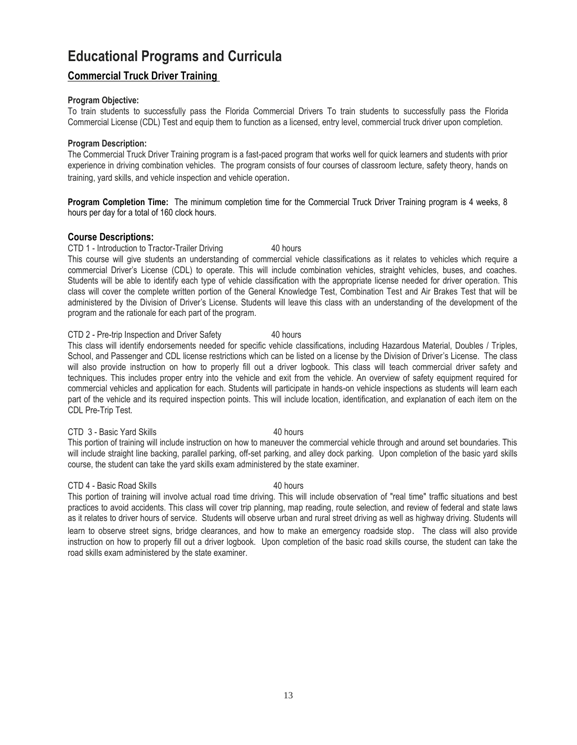## **Educational Programs and Curricula**

### **Commercial Truck Driver Training**

### **Program Objective:**

To train students to successfully pass the Florida Commercial Drivers To train students to successfully pass the Florida Commercial License (CDL) Test and equip them to function as a licensed, entry level, commercial truck driver upon completion.

### **Program Description:**

The Commercial Truck Driver Training program is a fast-paced program that works well for quick learners and students with prior experience in driving combination vehicles. The program consists of four courses of classroom lecture, safety theory, hands on training, yard skills, and vehicle inspection and vehicle operation.

**Program Completion Time:** The minimum completion time for the Commercial Truck Driver Training program is 4 weeks, 8 hours per day for a total of 160 clock hours.

### **Course Descriptions:**

### CTD 1 - Introduction to Tractor-Trailer Driving 40 hours

This course will give students an understanding of commercial vehicle classifications as it relates to vehicles which require a commercial Driver's License (CDL) to operate. This will include combination vehicles, straight vehicles, buses, and coaches. Students will be able to identify each type of vehicle classification with the appropriate license needed for driver operation. This class will cover the complete written portion of the General Knowledge Test, Combination Test and Air Brakes Test that will be administered by the Division of Driver's License. Students will leave this class with an understanding of the development of the program and the rationale for each part of the program.

### CTD 2 - Pre-trip Inspection and Driver Safety 40 hours

This class will identify endorsements needed for specific vehicle classifications, including Hazardous Material, Doubles / Triples, School, and Passenger and CDL license restrictions which can be listed on a license by the Division of Driver's License. The class will also provide instruction on how to properly fill out a driver logbook. This class will teach commercial driver safety and techniques. This includes proper entry into the vehicle and exit from the vehicle. An overview of safety equipment required for commercial vehicles and application for each. Students will participate in hands-on vehicle inspections as students will learn each part of the vehicle and its required inspection points. This will include location, identification, and explanation of each item on the CDL Pre-Trip Test.

### CTD 3 - Basic Yard Skills 40 hours

This portion of training will include instruction on how to maneuver the commercial vehicle through and around set boundaries. This will include straight line backing, parallel parking, off-set parking, and alley dock parking. Upon completion of the basic yard skills course, the student can take the yard skills exam administered by the state examiner.

### CTD 4 - Basic Road Skills 40 hours

This portion of training will involve actual road time driving. This will include observation of "real time" traffic situations and best practices to avoid accidents. This class will cover trip planning, map reading, route selection, and review of federal and state laws as it relates to driver hours of service. Students will observe urban and rural street driving as well as highway driving. Students will learn to observe street signs, bridge clearances, and how to make an emergency roadside stop. The class will also provide instruction on how to properly fill out a driver logbook. Upon completion of the basic road skills course, the student can take the road skills exam administered by the state examiner.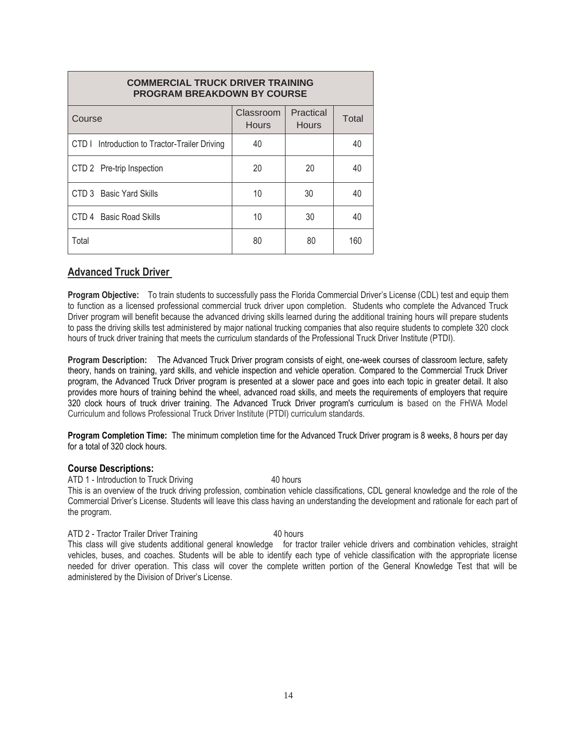| <b>COMMERCIAL TRUCK DRIVER TRAINING</b><br><b>PROGRAM BREAKDOWN BY COURSE</b> |                           |                           |       |  |  |
|-------------------------------------------------------------------------------|---------------------------|---------------------------|-------|--|--|
| Course                                                                        | Classroom<br><b>Hours</b> | Practical<br><b>Hours</b> | Total |  |  |
| CTD I Introduction to Tractor-Trailer Driving                                 | 40                        |                           | 40    |  |  |
| CTD 2 Pre-trip Inspection                                                     | 20                        | 20                        | 40    |  |  |
| CTD 3 Basic Yard Skills                                                       | 10                        | 30                        | 40    |  |  |
| CTD 4 Basic Road Skills                                                       | 10                        | 30                        | 40    |  |  |
| Total                                                                         | 80                        | 80                        | 160   |  |  |

### **Advanced Truck Driver**

**Program Objective:** To train students to successfully pass the Florida Commercial Driver's License (CDL) test and equip them to function as a licensed professional commercial truck driver upon completion. Students who complete the Advanced Truck Driver program will benefit because the advanced driving skills learned during the additional training hours will prepare students to pass the driving skills test administered by major national trucking companies that also require students to complete 320 clock hours of truck driver training that meets the curriculum standards of the Professional Truck Driver Institute (PTDI).

**Program Description:** The Advanced Truck Driver program consists of eight, one-week courses of classroom lecture, safety theory, hands on training, yard skills, and vehicle inspection and vehicle operation. Compared to the Commercial Truck Driver program, the Advanced Truck Driver program is presented at a slower pace and goes into each topic in greater detail. It also provides more hours of training behind the wheel, advanced road skills, and meets the requirements of employers that require 320 clock hours of truck driver training. The Advanced Truck Driver program's curriculum is based on the FHWA Model Curriculum and follows Professional Truck Driver Institute (PTDI) curriculum standards.

**Program Completion Time:** The minimum completion time for the Advanced Truck Driver program is 8 weeks, 8 hours per day for a total of 320 clock hours.

### **Course Descriptions:**

ATD 1 - Introduction to Truck Driving 40 hours This is an overview of the truck driving profession, combination vehicle classifications, CDL general knowledge and the role of the Commercial Driver's License. Students will leave this class having an understanding the development and rationale for each part of the program.

### ATD 2 - Tractor Trailer Driver Training 40 hours

This class will give students additional general knowledge for tractor trailer vehicle drivers and combination vehicles, straight vehicles, buses, and coaches. Students will be able to identify each type of vehicle classification with the appropriate license needed for driver operation. This class will cover the complete written portion of the General Knowledge Test that will be administered by the Division of Driver's License.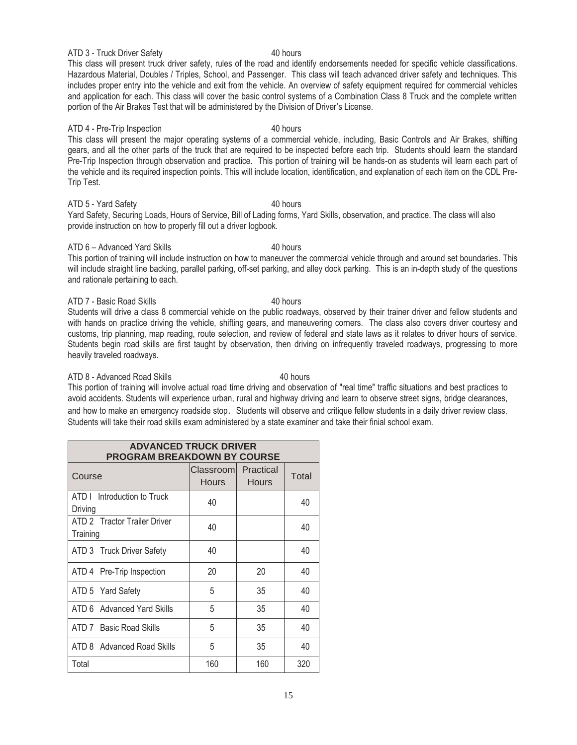ATD 3 - Truck Driver Safety 40 hours

This class will present truck driver safety, rules of the road and identify endorsements needed for specific vehicle classifications. Hazardous Material, Doubles / Triples, School, and Passenger. This class will teach advanced driver safety and techniques. This includes proper entry into the vehicle and exit from the vehicle. An overview of safety equipment required for commercial vehicles and application for each. This class will cover the basic control systems of a Combination Class 8 Truck and the complete written portion of the Air Brakes Test that will be administered by the Division of Driver's License.

### ATD 4 - Pre-Trip Inspection 40 hours

This class will present the major operating systems of a commercial vehicle, including, Basic Controls and Air Brakes, shifting gears, and all the other parts of the truck that are required to be inspected before each trip. Students should learn the standard Pre-Trip Inspection through observation and practice. This portion of training will be hands-on as students will learn each part of the vehicle and its required inspection points. This will include location, identification, and explanation of each item on the CDL Pre-Trip Test.

### ATD 5 - Yard Safety **40 hours**

Yard Safety, Securing Loads, Hours of Service, Bill of Lading forms, Yard Skills, observation, and practice. The class will also provide instruction on how to properly fill out a driver logbook.

### ATD 6 – Advanced Yard Skills 40 hours

This portion of training will include instruction on how to maneuver the commercial vehicle through and around set boundaries. This will include straight line backing, parallel parking, off-set parking, and alley dock parking. This is an in-depth study of the questions and rationale pertaining to each.

### ATD 7 - Basic Road Skills 40 hours

Students will drive a class 8 commercial vehicle on the public roadways, observed by their trainer driver and fellow students and with hands on practice driving the vehicle, shifting gears, and maneuvering corners. The class also covers driver courtesy and customs, trip planning, map reading, route selection, and review of federal and state laws as it relates to driver hours of service. Students begin road skills are first taught by observation, then driving on infrequently traveled roadways, progressing to more heavily traveled roadways.

### ATD 8 - Advanced Road Skills 40 hours

This portion of training will involve actual road time driving and observation of "real time" traffic situations and best practices to avoid accidents. Students will experience urban, rural and highway driving and learn to observe street signs, bridge clearances, and how to make an emergency roadside stop. Students will observe and critique fellow students in a daily driver review class. Students will take their road skills exam administered by a state examiner and take their finial school exam.

| <b>ADVANCED TRUCK DRIVER</b><br><b>PROGRAM BREAKDOWN BY COURSE</b> |                            |                    |       |  |  |
|--------------------------------------------------------------------|----------------------------|--------------------|-------|--|--|
| Course                                                             | Classrooml<br><b>Hours</b> | Practical<br>Hours | Total |  |  |
| ATD I Introduction to Truck<br>Driving                             | 40                         |                    | 40    |  |  |
| ATD 2 Tractor Trailer Driver<br>Training                           | 40                         |                    | 40    |  |  |
| ATD 3 Truck Driver Safety                                          | 40                         |                    | 40    |  |  |
| ATD 4 Pre-Trip Inspection                                          | 20                         | 20                 | 40    |  |  |
| ATD 5 Yard Safety                                                  | 5                          | 35                 | 40    |  |  |
| ATD 6 Advanced Yard Skills                                         | 5                          | 35                 | 40    |  |  |
| ATD 7 Basic Road Skills                                            | 5                          | 35                 | 40    |  |  |
| ATD 8 Advanced Road Skills                                         | 5                          | 35                 | 40    |  |  |
| Total                                                              | 160                        | 160                | 320   |  |  |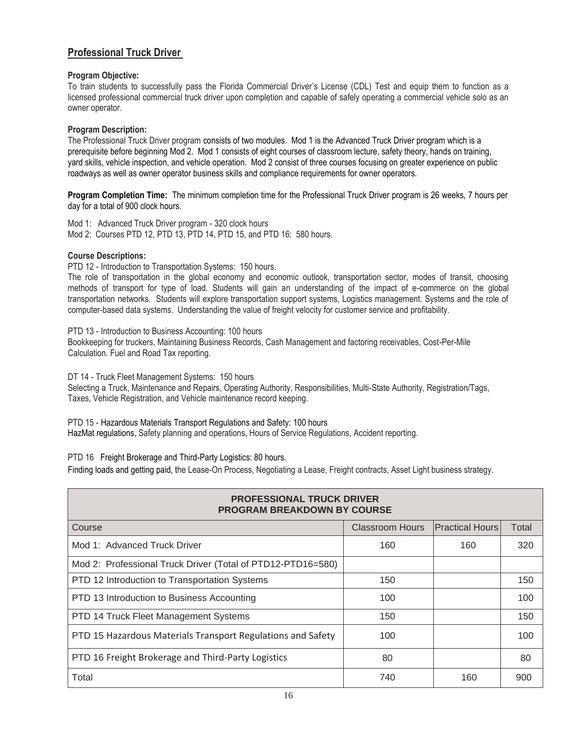### **Professional Truck Driver**

### **Program Objective:**

To train students to successfully pass the Florida Commercial Driver's License (CDL) Test and equip them to function as a licensed professional commercial truck driver upon completion and capable of safely operating a commercial vehicle solo as an owner operator.

### **Program Description:**

The Professional Truck Driver program consists of two modules. Mod 1 is the Advanced Truck Driver program which is a prerequisite before beginning Mod 2. Mod 1 consists of eight courses of classroom lecture, safety theory, hands on training, yard skills, vehicle inspection, and vehicle operation. Mod 2 consist of three courses focusing on greater experience on public roadways as well as owner operator business skills and compliance requirements for owner operators.

**Program Completion Time:** The minimum completion time for the Professional Truck Driver program is 26 weeks, 7 hours per day for a total of 900 clock hours.

Mod 1: Advanced Truck Driver program - 320 clock hours Mod 2: Courses PTD 12, PTD 13, PTD 14, PTD 15, and PTD 16: 580 hours.

### **Course Descriptions:**

PTD 12 - Introduction to Transportation Systems: 150 hours.

The role of transportation in the global economy and economic outlook, transportation sector, modes of transit, choosing methods of transport for type of load. Students will gain an understanding of the impact of e-commerce on the global transportation networks. Students will explore transportation support systems, Logistics management. Systems and the role of computer-based data systems. Understanding the value of freight velocity for customer service and profitability.

PTD 13 - Introduction to Business Accounting: 100 hours

Bookkeeping for truckers, Maintaining Business Records, Cash Management and factoring receivables, Cost-Per-Mile Calculation. Fuel and Road Tax reporting.

DT 14 - Truck Fleet Management Systems: 150 hours Selecting a Truck, Maintenance and Repairs, Operating Authority, Responsibilities, Multi-State Authority, Registration/Tags, Taxes, Vehicle Registration, and Vehicle maintenance record keeping.

PTD 15 - Hazardous Materials Transport Regulations and Safety: 100 hours HazMat regulations, Safety planning and operations, Hours of Service Regulations, Accident reporting.

PTD 16 Freight Brokerage and Third-Party Logistics: 80 hours.

Finding loads and getting paid, the Lease-On Process, Negotiating a Lease, Freight contracts, Asset Light business strategy.

| <b>PROFESSIONAL TRUCK DRIVER</b><br><b>PROGRAM BREAKDOWN BY COURSE</b> |                        |                        |       |  |  |
|------------------------------------------------------------------------|------------------------|------------------------|-------|--|--|
| Course                                                                 | <b>Classroom Hours</b> | <b>Practical Hours</b> | Total |  |  |
| Mod 1: Advanced Truck Driver                                           | 160                    | 160                    | 320   |  |  |
| Mod 2: Professional Truck Driver (Total of PTD12-PTD16=580)            |                        |                        |       |  |  |
| PTD 12 Introduction to Transportation Systems                          | 150                    |                        | 150   |  |  |
| PTD 13 Introduction to Business Accounting                             | 100                    |                        | 100   |  |  |
| PTD 14 Truck Fleet Management Systems                                  | 150                    |                        | 150   |  |  |
| PTD 15 Hazardous Materials Transport Regulations and Safety            | 100                    |                        | 100   |  |  |
| PTD 16 Freight Brokerage and Third-Party Logistics                     | 80                     |                        | 80    |  |  |
| Total                                                                  | 740                    | 160                    | 900   |  |  |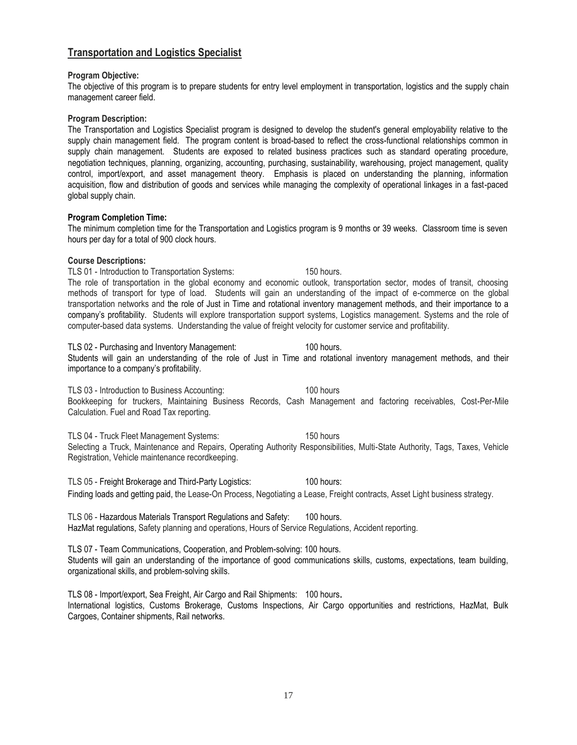### **Transportation and Logistics Specialist**

### **Program Objective:**

The objective of this program is to prepare students for entry level employment in transportation, logistics and the supply chain management career field.

**Program Description:**

The Transportation and Logistics Specialist program is designed to develop the student's general employability relative to the supply chain management field. The program content is broad-based to reflect the cross-functional relationships common in supply chain management. Students are exposed to related business practices such as standard operating procedure, negotiation techniques, planning, organizing, accounting, purchasing, sustainability, warehousing, project management, quality control, import/export, and asset management theory. Emphasis is placed on understanding the planning, information acquisition, flow and distribution of goods and services while managing the complexity of operational linkages in a fast-paced global supply chain.

### **Program Completion Time:**

The minimum completion time for the Transportation and Logistics program is 9 months or 39 weeks. Classroom time is seven hours per day for a total of 900 clock hours.

### **Course Descriptions:**

TLS 01 - Introduction to Transportation Systems: 150 hours. The role of transportation in the global economy and economic outlook, transportation sector, modes of transit, choosing methods of transport for type of load. Students will gain an understanding of the impact of e-commerce on the global transportation networks and the role of Just in Time and rotational inventory management methods, and their importance to a company's profitability. Students will explore transportation support systems, Logistics management. Systems and the role of computer-based data systems. Understanding the value of freight velocity for customer service and profitability.

TLS 02 - Purchasing and Inventory Management: 100 hours. Students will gain an understanding of the role of Just in Time and rotational inventory management methods, and their importance to a company's profitability.

TLS 03 - Introduction to Business Accounting: 100 hours Bookkeeping for truckers, Maintaining Business Records, Cash Management and factoring receivables, Cost-Per-Mile Calculation. Fuel and Road Tax reporting.

TLS 04 - Truck Fleet Management Systems: 150 hours Selecting a Truck, Maintenance and Repairs, Operating Authority Responsibilities, Multi-State Authority, Tags, Taxes, Vehicle Registration, Vehicle maintenance recordkeeping.

TLS 05 - Freight Brokerage and Third-Party Logistics: 100 hours: Finding loads and getting paid, the Lease-On Process, Negotiating a Lease, Freight contracts, Asset Light business strategy.

TLS 06 - Hazardous Materials Transport Regulations and Safety: 100 hours. HazMat regulations, Safety planning and operations, Hours of Service Regulations, Accident reporting.

TLS 07 - Team Communications, Cooperation, and Problem-solving: 100 hours. Students will gain an understanding of the importance of good communications skills, customs, expectations, team building, organizational skills, and problem-solving skills.

TLS 08 - Import/export, Sea Freight, Air Cargo and Rail Shipments: 100 hours.

International logistics, Customs Brokerage, Customs Inspections, Air Cargo opportunities and restrictions, HazMat, Bulk Cargoes, Container shipments, Rail networks.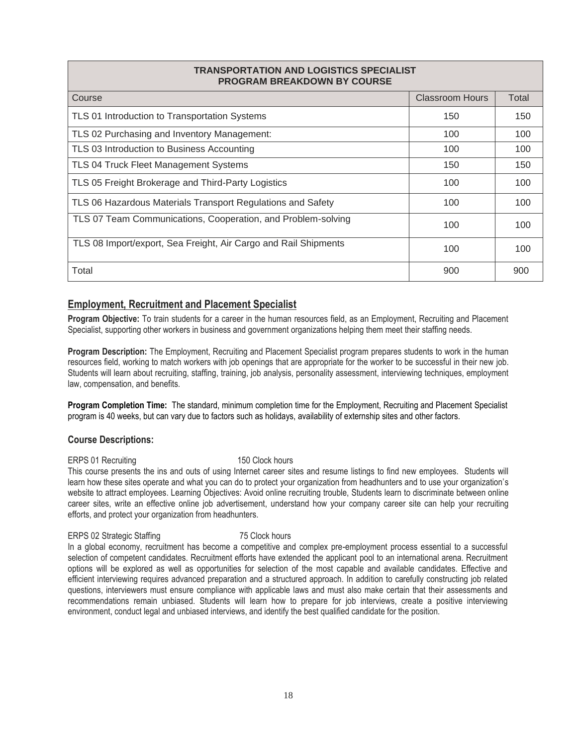### **TRANSPORTATION AND LOGISTICS SPECIALIST PROGRAM BREAKDOWN BY COURSE**

| Course                                                          | <b>Classroom Hours</b> | Total |
|-----------------------------------------------------------------|------------------------|-------|
| TLS 01 Introduction to Transportation Systems                   | 150                    | 150   |
| TLS 02 Purchasing and Inventory Management:                     | 100                    | 100   |
| TLS 03 Introduction to Business Accounting                      | 100                    | 100   |
| TLS 04 Truck Fleet Management Systems                           | 150                    | 150   |
| TLS 05 Freight Brokerage and Third-Party Logistics              | 100                    | 100   |
| TLS 06 Hazardous Materials Transport Regulations and Safety     | 100                    | 100   |
| TLS 07 Team Communications, Cooperation, and Problem-solving    | 100                    | 100   |
| TLS 08 Import/export, Sea Freight, Air Cargo and Rail Shipments | 100                    | 100   |
| Total                                                           | 900                    | 900   |

### **Employment, Recruitment and Placement Specialist**

**Program Objective:** To train students for a career in the human resources field, as an Employment, Recruiting and Placement Specialist, supporting other workers in business and government organizations helping them meet their staffing needs.

**Program Description:** The Employment, Recruiting and Placement Specialist program prepares students to work in the human resources field, working to match workers with job openings that are appropriate for the worker to be successful in their new job. Students will learn about recruiting, staffing, training, job analysis, personality assessment, interviewing techniques, employment law, compensation, and benefits.

**Program Completion Time:** The standard, minimum completion time for the Employment, Recruiting and Placement Specialist program is 40 weeks, but can vary due to factors such as holidays, availability of externship sites and other factors.

### **Course Descriptions:**

### ERPS 01 Recruiting 150 Clock hours

This course presents the ins and outs of using Internet career sites and resume listings to find new employees. Students will learn how these sites operate and what you can do to protect your organization from headhunters and to use your organization's website to attract employees. Learning Objectives: Avoid online recruiting trouble, Students learn to discriminate between online career sites, write an effective online job advertisement, understand how your company career site can help your recruiting efforts, and protect your organization from headhunters.

### ERPS 02 Strategic Staffing 75 Clock hours

In a global economy, recruitment has become a competitive and complex pre-employment process essential to a successful selection of competent candidates. Recruitment efforts have extended the applicant pool to an international arena. Recruitment options will be explored as well as opportunities for selection of the most capable and available candidates. Effective and efficient interviewing requires advanced preparation and a structured approach. In addition to carefully constructing job related questions, interviewers must ensure compliance with applicable laws and must also make certain that their assessments and recommendations remain unbiased. Students will learn how to prepare for job interviews, create a positive interviewing environment, conduct legal and unbiased interviews, and identify the best qualified candidate for the position.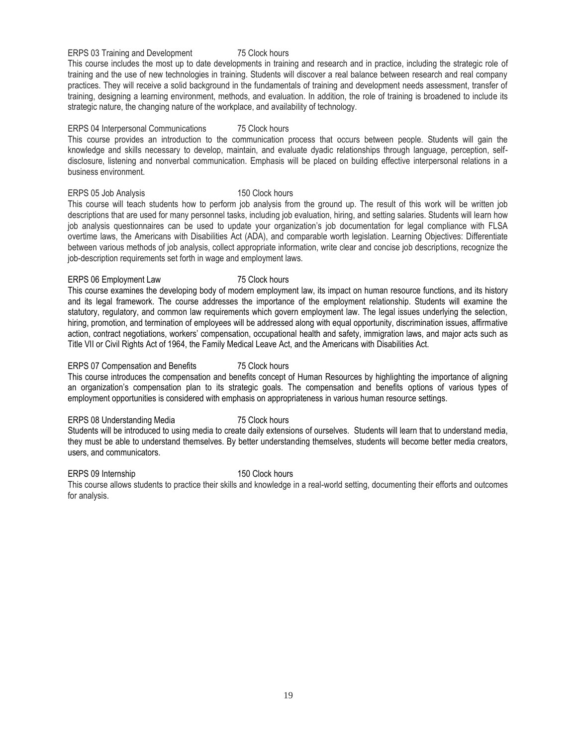ERPS 03 Training and Development 75 Clock hours

This course includes the most up to date developments in training and research and in practice, including the strategic role of training and the use of new technologies in training. Students will discover a real balance between research and real company practices. They will receive a solid background in the fundamentals of training and development needs assessment, transfer of training, designing a learning environment, methods, and evaluation. In addition, the role of training is broadened to include its strategic nature, the changing nature of the workplace, and availability of technology.

### ERPS 04 Interpersonal Communications 75 Clock hours

This course provides an introduction to the communication process that occurs between people. Students will gain the knowledge and skills necessary to develop, maintain, and evaluate dyadic relationships through language, perception, selfdisclosure, listening and nonverbal communication. Emphasis will be placed on building effective interpersonal relations in a business environment.

### ERPS 05 Job Analysis 150 Clock hours

This course will teach students how to perform job analysis from the ground up. The result of this work will be written job descriptions that are used for many personnel tasks, including job evaluation, hiring, and setting salaries. Students will learn how job analysis questionnaires can be used to update your organization's job documentation for legal compliance with FLSA overtime laws, the Americans with Disabilities Act (ADA), and comparable worth legislation. Learning Objectives: Differentiate between various methods of job analysis, collect appropriate information, write clear and concise job descriptions, recognize the job-description requirements set forth in wage and employment laws.

### ERPS 06 Employment Law 75 Clock hours

This course examines the developing body of modern employment law, its impact on human resource functions, and its history and its legal framework. The course addresses the importance of the employment relationship. Students will examine the statutory, regulatory, and common law requirements which govern employment law. The legal issues underlying the selection, hiring, promotion, and termination of employees will be addressed along with equal opportunity, discrimination issues, affirmative action, contract negotiations, workers' compensation, occupational health and safety, immigration laws, and major acts such as Title VII or Civil Rights Act of 1964, the Family Medical Leave Act, and the Americans with Disabilities Act.

### ERPS 07 Compensation and Benefits 75 Clock hours

This course introduces the compensation and benefits concept of Human Resources by highlighting the importance of aligning an organization's compensation plan to its strategic goals. The compensation and benefits options of various types of employment opportunities is considered with emphasis on appropriateness in various human resource settings.

### ERPS 08 Understanding Media 75 Clock hours

Students will be introduced to using media to create daily extensions of ourselves. Students will learn that to understand media, they must be able to understand themselves. By better understanding themselves, students will become better media creators, users, and communicators.

### ERPS 09 Internship 150 Clock hours

This course allows students to practice their skills and knowledge in a real-world setting, documenting their efforts and outcomes for analysis.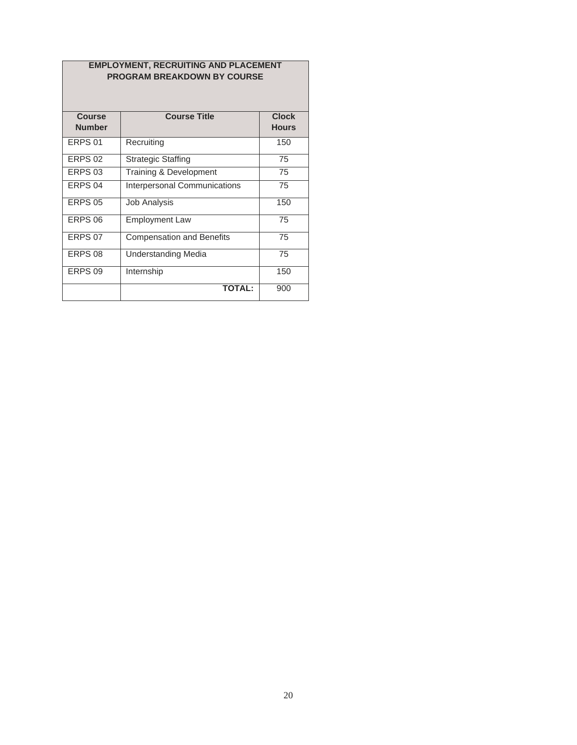### **EMPLOYMENT, RECRUITING AND PLACEMENT PROGRAM BREAKDOWN BY COURSE**

| Course             | <b>Course Title</b>              | <b>Clock</b> |
|--------------------|----------------------------------|--------------|
| <b>Number</b>      |                                  | <b>Hours</b> |
| FRPS 01            | Recruiting                       | 150          |
| FRPS 02            | <b>Strategic Staffing</b>        | 75           |
| ERPS <sub>03</sub> | Training & Development           | 75           |
| ERPS <sub>04</sub> | Interpersonal Communications     | 75           |
| <b>ERPS 05</b>     | <b>Job Analysis</b>              | 150          |
| ERPS <sub>06</sub> | <b>Employment Law</b>            | 75           |
| ERPS 07            | <b>Compensation and Benefits</b> | 75           |
| ERPS <sub>08</sub> | <b>Understanding Media</b>       | 75           |
| ERPS <sub>09</sub> | Internship                       | 150          |
|                    | <b>TOTAL:</b>                    | 900          |